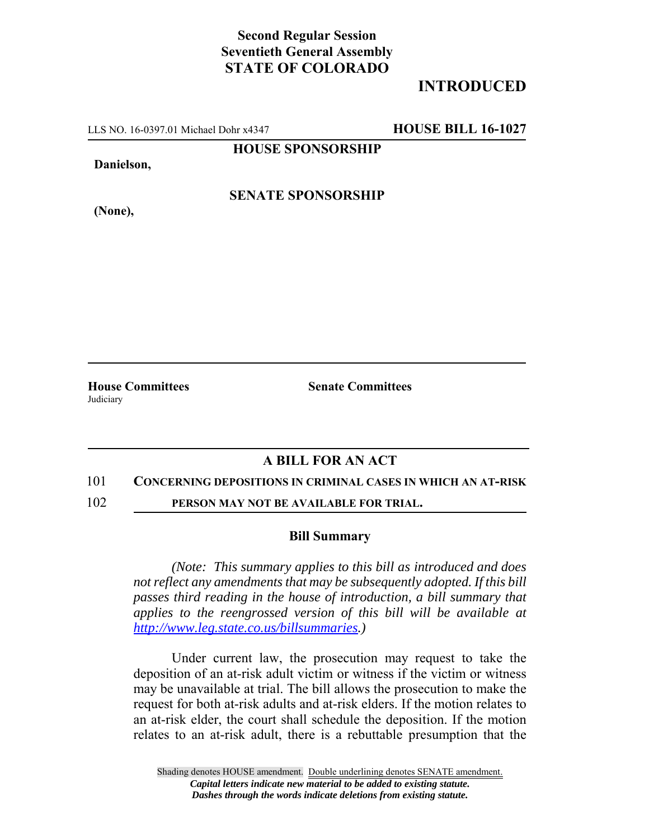## **Second Regular Session Seventieth General Assembly STATE OF COLORADO**

# **INTRODUCED**

LLS NO. 16-0397.01 Michael Dohr x4347 **HOUSE BILL 16-1027**

**HOUSE SPONSORSHIP**

**Danielson,**

**(None),**

**SENATE SPONSORSHIP**

**House Committees Senate Committees Judiciary** 

### **A BILL FOR AN ACT**

#### 101 **CONCERNING DEPOSITIONS IN CRIMINAL CASES IN WHICH AN AT-RISK**

102 **PERSON MAY NOT BE AVAILABLE FOR TRIAL.**

### **Bill Summary**

*(Note: This summary applies to this bill as introduced and does not reflect any amendments that may be subsequently adopted. If this bill passes third reading in the house of introduction, a bill summary that applies to the reengrossed version of this bill will be available at http://www.leg.state.co.us/billsummaries.)*

Under current law, the prosecution may request to take the deposition of an at-risk adult victim or witness if the victim or witness may be unavailable at trial. The bill allows the prosecution to make the request for both at-risk adults and at-risk elders. If the motion relates to an at-risk elder, the court shall schedule the deposition. If the motion relates to an at-risk adult, there is a rebuttable presumption that the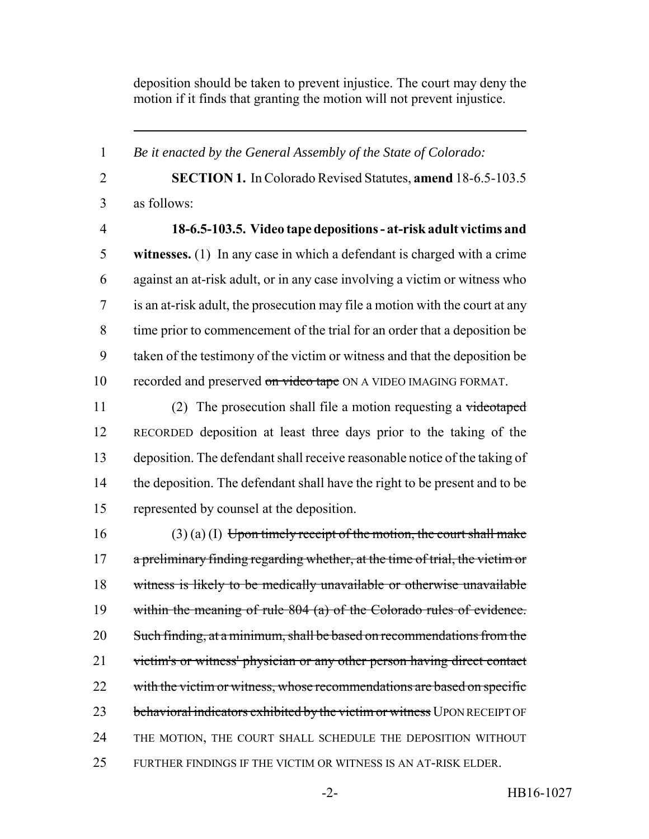deposition should be taken to prevent injustice. The court may deny the motion if it finds that granting the motion will not prevent injustice.

 **SECTION 1.** In Colorado Revised Statutes, **amend** 18-6.5-103.5 as follows: **18-6.5-103.5. Video tape depositions - at-risk adult victims and witnesses.** (1) In any case in which a defendant is charged with a crime against an at-risk adult, or in any case involving a victim or witness who is an at-risk adult, the prosecution may file a motion with the court at any time prior to commencement of the trial for an order that a deposition be taken of the testimony of the victim or witness and that the deposition be 10 recorded and preserved on video tape ON A VIDEO IMAGING FORMAT.

*Be it enacted by the General Assembly of the State of Colorado:*

11 (2) The prosecution shall file a motion requesting a videotaped RECORDED deposition at least three days prior to the taking of the deposition. The defendant shall receive reasonable notice of the taking of the deposition. The defendant shall have the right to be present and to be represented by counsel at the deposition.

16 (3) (a) (I) Upon timely receipt of the motion, the court shall make a preliminary finding regarding whether, at the time of trial, the victim or witness is likely to be medically unavailable or otherwise unavailable within the meaning of rule 804 (a) of the Colorado rules of evidence. Such finding, at a minimum, shall be based on recommendations from the 21 victim's or witness' physician or any other person having direct contact 22 with the victim or witness, whose recommendations are based on specific 23 behavioral indicators exhibited by the victim or witness UPON RECEIPT OF THE MOTION, THE COURT SHALL SCHEDULE THE DEPOSITION WITHOUT FURTHER FINDINGS IF THE VICTIM OR WITNESS IS AN AT-RISK ELDER.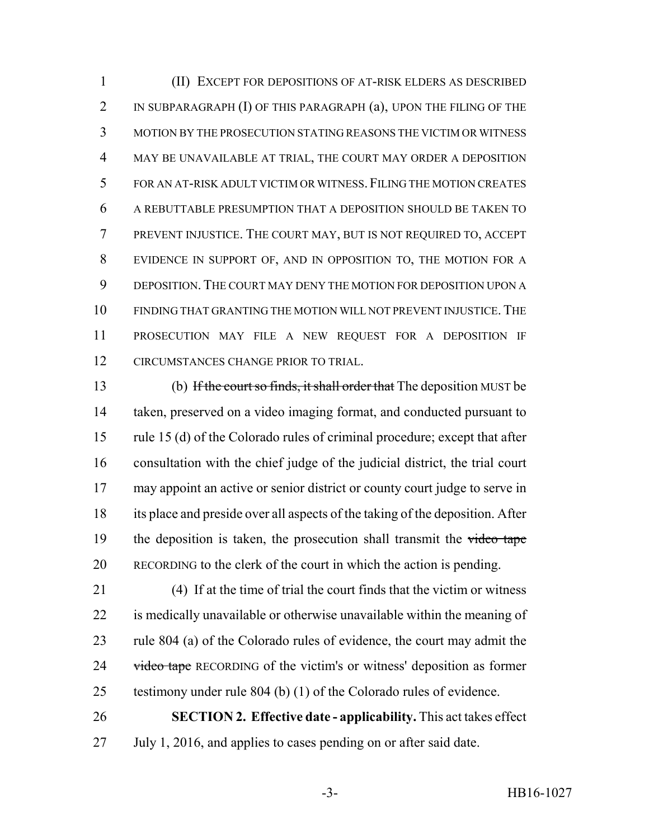(II) EXCEPT FOR DEPOSITIONS OF AT-RISK ELDERS AS DESCRIBED 2 IN SUBPARAGRAPH (I) OF THIS PARAGRAPH (a), UPON THE FILING OF THE MOTION BY THE PROSECUTION STATING REASONS THE VICTIM OR WITNESS MAY BE UNAVAILABLE AT TRIAL, THE COURT MAY ORDER A DEPOSITION FOR AN AT-RISK ADULT VICTIM OR WITNESS.FILING THE MOTION CREATES A REBUTTABLE PRESUMPTION THAT A DEPOSITION SHOULD BE TAKEN TO PREVENT INJUSTICE. THE COURT MAY, BUT IS NOT REQUIRED TO, ACCEPT EVIDENCE IN SUPPORT OF, AND IN OPPOSITION TO, THE MOTION FOR A DEPOSITION. THE COURT MAY DENY THE MOTION FOR DEPOSITION UPON A FINDING THAT GRANTING THE MOTION WILL NOT PREVENT INJUSTICE.THE PROSECUTION MAY FILE A NEW REQUEST FOR A DEPOSITION IF CIRCUMSTANCES CHANGE PRIOR TO TRIAL.

 (b) If the court so finds, it shall order that The deposition MUST be taken, preserved on a video imaging format, and conducted pursuant to rule 15 (d) of the Colorado rules of criminal procedure; except that after consultation with the chief judge of the judicial district, the trial court may appoint an active or senior district or county court judge to serve in its place and preside over all aspects of the taking of the deposition. After 19 the deposition is taken, the prosecution shall transmit the video tape RECORDING to the clerk of the court in which the action is pending.

 (4) If at the time of trial the court finds that the victim or witness is medically unavailable or otherwise unavailable within the meaning of rule 804 (a) of the Colorado rules of evidence, the court may admit the 24 video tape RECORDING of the victim's or witness' deposition as former testimony under rule 804 (b) (1) of the Colorado rules of evidence.

 **SECTION 2. Effective date - applicability.** This act takes effect July 1, 2016, and applies to cases pending on or after said date.